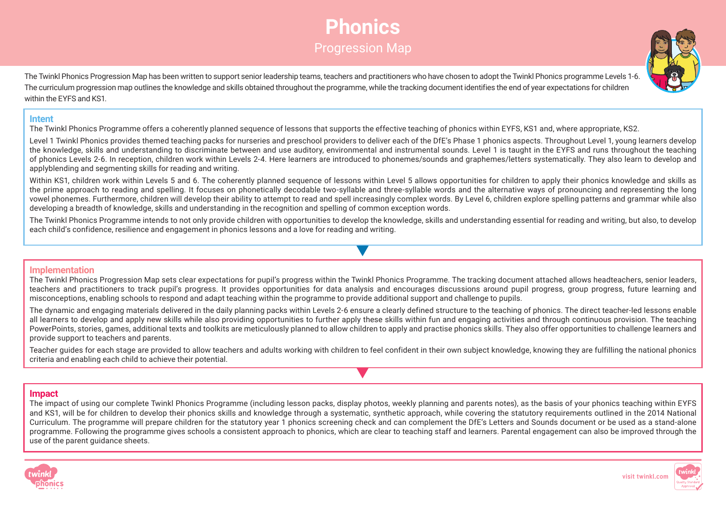# **Phonics** Progression Map



The Twinkl Phonics Progression Map has been written to support senior leadership teams, teachers and practitioners who have chosen to adopt the Twinkl Phonics programme Levels 1-6. The curriculum progression map outlines the knowledge and skills obtained throughout the programme, while the tracking document identifies the end of year expectations for children within the EYFS and KS1.

#### **Intent**

The Twinkl Phonics Programme offers a coherently planned sequence of lessons that supports the effective teaching of phonics within EYFS, KS1 and, where appropriate, KS2.

Level 1 Twinkl Phonics provides themed teaching packs for nurseries and preschool providers to deliver each of the DfE's Phase 1 phonics aspects. Throughout Level 1, young learners develop the knowledge, skills and understanding to discriminate between and use auditory, environmental and instrumental sounds. Level 1 is taught in the EYFS and runs throughout the teaching of phonics Levels 2-6. In reception, children work within Levels 2-4. Here learners are introduced to phonemes/sounds and graphemes/letters systematically. They also learn to develop and applyblending and segmenting skills for reading and writing.

Within KS1, children work within Levels 5 and 6. The coherently planned sequence of lessons within Level 5 allows opportunities for children to apply their phonics knowledge and skills as the prime approach to reading and spelling. It focuses on phonetically decodable two-syllable and three-syllable words and the alternative ways of pronouncing and representing the long vowel phonemes. Furthermore, children will develop their ability to attempt to read and spell increasingly complex words. By Level 6, children explore spelling patterns and grammar while also developing a breadth of knowledge, skills and understanding in the recognition and spelling of common exception words.

The Twinkl Phonics Programme intends to not only provide children with opportunities to develop the knowledge, skills and understanding essential for reading and writing, but also, to develop each child's confidence, resilience and engagement in phonics lessons and a love for reading and writing.

#### **Implementation**

The Twinkl Phonics Progression Map sets clear expectations for pupil's progress within the Twinkl Phonics Programme. The tracking document attached allows headteachers, senior leaders, teachers and practitioners to track pupil's progress. It provides opportunities for data analysis and encourages discussions around pupil progress, group progress, future learning and misconceptions, enabling schools to respond and adapt teaching within the programme to provide additional support and challenge to pupils.

The dynamic and engaging materials delivered in the daily planning packs within Levels 2-6 ensure a clearly defined structure to the teaching of phonics. The direct teacher-led lessons enable all learners to develop and apply new skills while also providing opportunities to further apply these skills within fun and engaging activities and through continuous provision. The teaching PowerPoints, stories, games, additional texts and toolkits are meticulously planned to allow children to apply and practise phonics skills. They also offer opportunities to challenge learners and provide support to teachers and parents.

Teacher guides for each stage are provided to allow teachers and adults working with children to feel confident in their own subject knowledge, knowing they are fulfilling the national phonics criteria and enabling each child to achieve their potential.

#### **Impact**

The impact of using our complete Twinkl Phonics Programme (including lesson packs, display photos, weekly planning and parents notes), as the basis of your phonics teaching within EYFS and KS1, will be for children to develop their phonics skills and knowledge through a systematic, synthetic approach, while covering the statutory requirements outlined in the 2014 National Curriculum. The programme will prepare children for the statutory year 1 phonics screening check and can complement the DfE's Letters and Sounds document or be used as a stand-alone programme. Following the programme gives schools a consistent approach to phonics, which are clear to teaching staff and learners. Parental engagement can also be improved through the use of the parent quidance sheets.



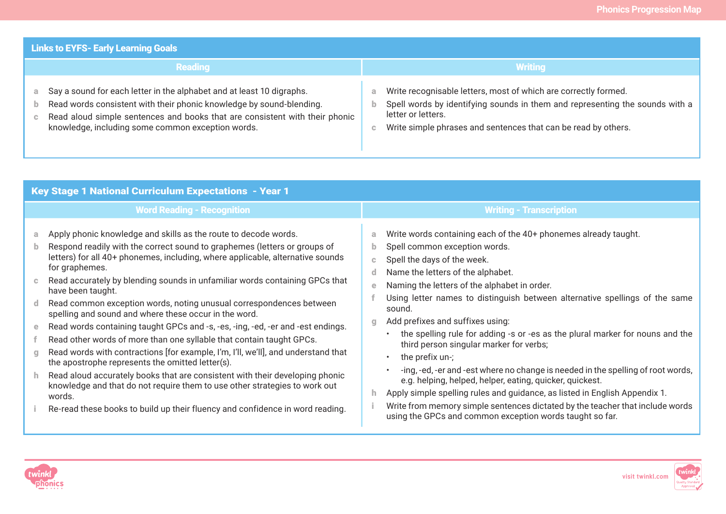| <b>Links to EYFS- Early Learning Goals</b>                                                                                                                                                                                                                                        |                                                                                                                                                                                                                                                    |  |  |  |  |  |  |  |  |  |
|-----------------------------------------------------------------------------------------------------------------------------------------------------------------------------------------------------------------------------------------------------------------------------------|----------------------------------------------------------------------------------------------------------------------------------------------------------------------------------------------------------------------------------------------------|--|--|--|--|--|--|--|--|--|
| <b>Reading</b>                                                                                                                                                                                                                                                                    | <b>Writing</b>                                                                                                                                                                                                                                     |  |  |  |  |  |  |  |  |  |
| Say a sound for each letter in the alphabet and at least 10 digraphs.<br>Read words consistent with their phonic knowledge by sound-blending.<br>Read aloud simple sentences and books that are consistent with their phonic<br>knowledge, including some common exception words. | Write recognisable letters, most of which are correctly formed.<br>a<br>Spell words by identifying sounds in them and representing the sounds with a<br>letter or letters.<br>Write simple phrases and sentences that can be read by others.<br>c. |  |  |  |  |  |  |  |  |  |

|                                                         | <b>Key Stage 1 National Curriculum Expectations - Year 1</b>                                                                                                                                                                                                                                                                                                                                                                                                                                                                                                                                                                                                                                                                                                                                                                                                                                                                                                                                                                                      |                                            |                                                                                                                                                                                                                                                                                                                                                                                                                                                                                                                                                                                                                                                                                                                                                                                                                                                                               |  |  |  |  |  |  |  |  |
|---------------------------------------------------------|---------------------------------------------------------------------------------------------------------------------------------------------------------------------------------------------------------------------------------------------------------------------------------------------------------------------------------------------------------------------------------------------------------------------------------------------------------------------------------------------------------------------------------------------------------------------------------------------------------------------------------------------------------------------------------------------------------------------------------------------------------------------------------------------------------------------------------------------------------------------------------------------------------------------------------------------------------------------------------------------------------------------------------------------------|--------------------------------------------|-------------------------------------------------------------------------------------------------------------------------------------------------------------------------------------------------------------------------------------------------------------------------------------------------------------------------------------------------------------------------------------------------------------------------------------------------------------------------------------------------------------------------------------------------------------------------------------------------------------------------------------------------------------------------------------------------------------------------------------------------------------------------------------------------------------------------------------------------------------------------------|--|--|--|--|--|--|--|--|
|                                                         | <b>Word Reading - Recognition</b>                                                                                                                                                                                                                                                                                                                                                                                                                                                                                                                                                                                                                                                                                                                                                                                                                                                                                                                                                                                                                 | <b>Writing - Transcription</b>             |                                                                                                                                                                                                                                                                                                                                                                                                                                                                                                                                                                                                                                                                                                                                                                                                                                                                               |  |  |  |  |  |  |  |  |
| a<br>b<br>$\mathbb{C}$<br>-d<br>е<br>$\mathbf{C}$<br>h. | Apply phonic knowledge and skills as the route to decode words.<br>Respond readily with the correct sound to graphemes (letters or groups of<br>letters) for all 40+ phonemes, including, where applicable, alternative sounds<br>for graphemes.<br>Read accurately by blending sounds in unfamiliar words containing GPCs that<br>have been taught.<br>Read common exception words, noting unusual correspondences between<br>spelling and sound and where these occur in the word.<br>Read words containing taught GPCs and -s, -es, -ing, -ed, -er and -est endings.<br>Read other words of more than one syllable that contain taught GPCs.<br>Read words with contractions [for example, I'm, I'll, we'll], and understand that<br>the apostrophe represents the omitted letter(s).<br>Read aloud accurately books that are consistent with their developing phonic<br>knowledge and that do not require them to use other strategies to work out<br>words.<br>Re-read these books to build up their fluency and confidence in word reading. | a<br>b.<br>c.<br>d.<br>e<br>$\alpha$<br>h. | Write words containing each of the 40+ phonemes already taught.<br>Spell common exception words.<br>Spell the days of the week.<br>Name the letters of the alphabet.<br>Naming the letters of the alphabet in order.<br>Using letter names to distinguish between alternative spellings of the same<br>sound.<br>Add prefixes and suffixes using:<br>the spelling rule for adding -s or -es as the plural marker for nouns and the<br>third person singular marker for verbs;<br>the prefix $un$ ;<br>-ing, -ed, -er and -est where no change is needed in the spelling of root words,<br>e.g. helping, helped, helper, eating, quicker, quickest.<br>Apply simple spelling rules and guidance, as listed in English Appendix 1.<br>Write from memory simple sentences dictated by the teacher that include words<br>using the GPCs and common exception words taught so far. |  |  |  |  |  |  |  |  |



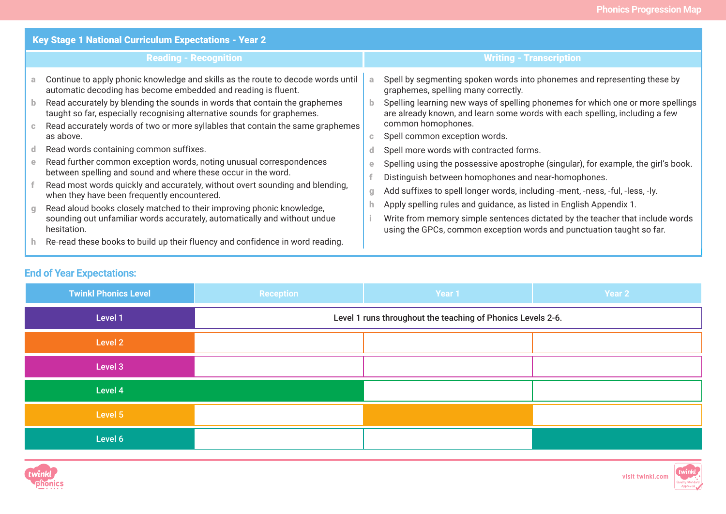|                          | Key Stage 1 National Curriculum Expectations - Year 2                                                                                                                                                                                                                                                                                                                                                     |                                |                                                                                                                                                                                                                                                                                                                                          |  |  |  |  |
|--------------------------|-----------------------------------------------------------------------------------------------------------------------------------------------------------------------------------------------------------------------------------------------------------------------------------------------------------------------------------------------------------------------------------------------------------|--------------------------------|------------------------------------------------------------------------------------------------------------------------------------------------------------------------------------------------------------------------------------------------------------------------------------------------------------------------------------------|--|--|--|--|
|                          | <b>Reading - Recognition</b>                                                                                                                                                                                                                                                                                                                                                                              | <b>Writing - Transcription</b> |                                                                                                                                                                                                                                                                                                                                          |  |  |  |  |
| a.<br>b.<br>$\mathbb{C}$ | Continue to apply phonic knowledge and skills as the route to decode words until<br>automatic decoding has become embedded and reading is fluent.<br>Read accurately by blending the sounds in words that contain the graphemes<br>taught so far, especially recognising alternative sounds for graphemes.<br>Read accurately words of two or more syllables that contain the same graphemes<br>as above. | a.<br>b.<br>$\mathbf{C}$       | Spell by segmenting spoken words into phonemes and representing these by<br>graphemes, spelling many correctly.<br>Spelling learning new ways of spelling phonemes for which one or more spellings<br>are already known, and learn some words with each spelling, including a few<br>common homophones.<br>Spell common exception words. |  |  |  |  |
| d.                       | Read words containing common suffixes.                                                                                                                                                                                                                                                                                                                                                                    | d.                             | Spell more words with contracted forms.                                                                                                                                                                                                                                                                                                  |  |  |  |  |
| e<br>$q_{\parallel}$     | Read further common exception words, noting unusual correspondences<br>between spelling and sound and where these occur in the word.<br>Read most words quickly and accurately, without overt sounding and blending,<br>when they have been frequently encountered.<br>Read aloud books closely matched to their improving phonic knowledge,                                                              | е<br>$q_{\parallel}$           | Spelling using the possessive apostrophe (singular), for example, the girl's book.<br>Distinguish between homophones and near-homophones.<br>Add suffixes to spell longer words, including -ment, -ness, -ful, -less, -ly.<br>Apply spelling rules and guidance, as listed in English Appendix 1.                                        |  |  |  |  |
| h.                       | sounding out unfamiliar words accurately, automatically and without undue<br>hesitation.<br>Re-read these books to build up their fluency and confidence in word reading.                                                                                                                                                                                                                                 |                                | Write from memory simple sentences dictated by the teacher that include words<br>using the GPCs, common exception words and punctuation taught so far.                                                                                                                                                                                   |  |  |  |  |

# **End of Year Expectations:**

| <b>Twinkl Phonics Level</b> | <b>Reception</b>                                            | Year <sub>1</sub> | Year 2 |  |  |  |  |  |  |
|-----------------------------|-------------------------------------------------------------|-------------------|--------|--|--|--|--|--|--|
| Level 1                     | Level 1 runs throughout the teaching of Phonics Levels 2-6. |                   |        |  |  |  |  |  |  |
| Level 2                     |                                                             |                   |        |  |  |  |  |  |  |
| Level 3                     |                                                             |                   |        |  |  |  |  |  |  |
| Level 4                     |                                                             |                   |        |  |  |  |  |  |  |
| Level 5                     |                                                             |                   |        |  |  |  |  |  |  |
| Level 6                     |                                                             |                   |        |  |  |  |  |  |  |



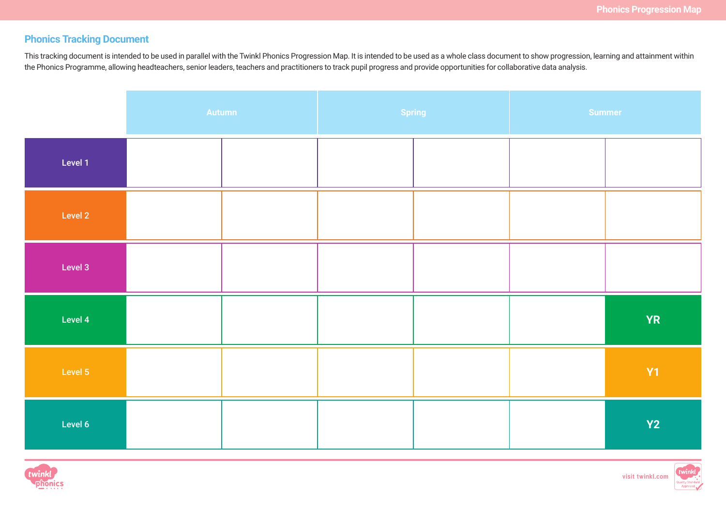# **Phonics Tracking Document**

This tracking document is intended to be used in parallel with the Twinkl Phonics Progression Map. It is intended to be used as a whole class document to show progression, learning and attainment within the Phonics Programme, allowing headteachers, senior leaders, teachers and practitioners to track pupil progress and provide opportunities for collaborative data analysis.

|         | <b>Autumn</b> |  | Spring | Summer |           |  |
|---------|---------------|--|--------|--------|-----------|--|
| Level 1 |               |  |        |        |           |  |
| Level 2 |               |  |        |        |           |  |
| Level 3 |               |  |        |        |           |  |
| Level 4 |               |  |        |        | <b>YR</b> |  |
| Level 5 |               |  |        |        | <b>Y1</b> |  |
| Level 6 |               |  |        |        | Y2        |  |



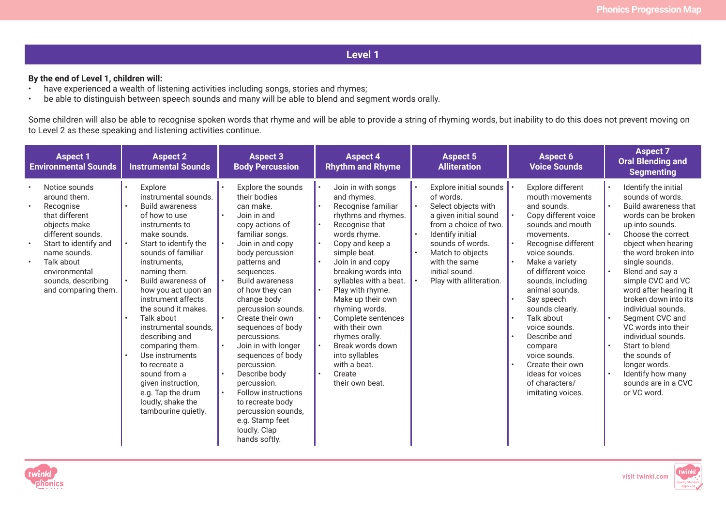#### **By the end of Level 1, children will:**

- have experienced a wealth of listening activities including songs, stories and rhymes;
- be able to distinguish between speech sounds and many will be able to blend and segment words orally.

Some children will also be able to recognise spoken words that rhyme and will be able to provide a string of rhyming words, but inability to do this does not prevent moving on to Level 2 as these speaking and listening activities continue.

| <b>Aspect 1</b><br><b>Aspect 2</b><br><b>Environmental Sounds</b><br><b>Instrumental Sounds</b>                                                                                                                                                  |                                                                                                                                                                                                                                                                                                                                                                                                                                                                                                             | <b>Aspect 3</b><br><b>Body Percussion</b>                                                                                                                                                                                                                                                                                                                                                                                                                                                                                            | <b>Aspect 4</b><br><b>Rhythm and Rhyme</b>                                                                                                                                                                                                                                                                                                                                                                                                                              | <b>Aspect 5</b><br><b>Alliteration</b>                                                                                                                                                                                                 | <b>Aspect 6</b><br><b>Voice Sounds</b>                                                                                                                                                                                                                                                                                                                                                                                          | <b>Aspect 7</b><br><b>Oral Blending and</b><br><b>Segmenting</b>                                                                                                                                                                                                                                                                                                                                                                                                                                                          |
|--------------------------------------------------------------------------------------------------------------------------------------------------------------------------------------------------------------------------------------------------|-------------------------------------------------------------------------------------------------------------------------------------------------------------------------------------------------------------------------------------------------------------------------------------------------------------------------------------------------------------------------------------------------------------------------------------------------------------------------------------------------------------|--------------------------------------------------------------------------------------------------------------------------------------------------------------------------------------------------------------------------------------------------------------------------------------------------------------------------------------------------------------------------------------------------------------------------------------------------------------------------------------------------------------------------------------|-------------------------------------------------------------------------------------------------------------------------------------------------------------------------------------------------------------------------------------------------------------------------------------------------------------------------------------------------------------------------------------------------------------------------------------------------------------------------|----------------------------------------------------------------------------------------------------------------------------------------------------------------------------------------------------------------------------------------|---------------------------------------------------------------------------------------------------------------------------------------------------------------------------------------------------------------------------------------------------------------------------------------------------------------------------------------------------------------------------------------------------------------------------------|---------------------------------------------------------------------------------------------------------------------------------------------------------------------------------------------------------------------------------------------------------------------------------------------------------------------------------------------------------------------------------------------------------------------------------------------------------------------------------------------------------------------------|
| Notice sounds<br>around them.<br>Recognise<br>that different<br>objects make<br>different sounds.<br>Start to identify and<br>$\bullet$<br>name sounds.<br>Talk about<br>$\bullet$<br>environmental<br>sounds, describing<br>and comparing them. | Explore<br>instrumental sounds.<br><b>Build awareness</b><br>of how to use<br>instruments to<br>make sounds.<br>Start to identify the<br>sounds of familiar<br>instruments,<br>naming them.<br>Build awareness of<br>how you act upon an<br>instrument affects<br>the sound it makes.<br>Talk about<br>instrumental sounds.<br>describing and<br>comparing them.<br>Use instruments<br>to recreate a<br>sound from a<br>given instruction,<br>e.g. Tap the drum<br>loudly, shake the<br>tambourine quietly. | Explore the sounds<br>their bodies<br>can make.<br>Join in and<br>copy actions of<br>familiar songs.<br>Join in and copy<br>body percussion<br>patterns and<br>sequences.<br><b>Build awareness</b><br>of how they can<br>change body<br>percussion sounds.<br>Create their own<br>sequences of body<br>percussions.<br>Join in with longer<br>sequences of body<br>percussion.<br>Describe body<br>percussion.<br>Follow instructions<br>to recreate body<br>percussion sounds,<br>e.g. Stamp feet<br>loudly. Clap<br>hands softly. | Join in with songs<br>and rhymes.<br>Recognise familiar<br>rhythms and rhymes.<br>Recognise that<br>words rhyme.<br>Copy and keep a<br>$\bullet$<br>simple beat.<br>Join in and copy<br>breaking words into<br>syllables with a beat.<br>Play with rhyme.<br>Make up their own<br>rhyming words.<br>Complete sentences<br>$\bullet$<br>with their own<br>rhymes orally.<br>Break words down<br>into syllables<br>with a beat.<br>Create<br>$\bullet$<br>their own beat. | Explore initial sounds<br>of words.<br>Select objects with<br>a given initial sound<br>from a choice of two.<br>Identify initial<br>sounds of words.<br>Match to objects<br>with the same<br>initial sound.<br>Play with alliteration. | Explore different<br>mouth movements<br>and sounds.<br>Copy different voice<br>sounds and mouth<br>movements.<br>Recognise different<br>voice sounds.<br>Make a variety<br>of different voice<br>sounds, including<br>animal sounds.<br>Say speech<br>sounds clearly.<br>Talk about<br>voice sounds.<br>Describe and<br>compare<br>voice sounds.<br>Create their own<br>ideas for voices<br>of characters/<br>imitating voices. | Identify the initial<br>sounds of words.<br>Build awareness that<br>words can be broken<br>up into sounds.<br>Choose the correct<br>object when hearing<br>the word broken into<br>single sounds.<br>Blend and say a<br>$\bullet$<br>simple CVC and VC<br>word after hearing it<br>broken down into its<br>individual sounds.<br>Segment CVC and<br>VC words into their<br>individual sounds.<br>Start to blend<br>the sounds of<br>longer words.<br>Identify how many<br>$\bullet$<br>sounds are in a CVC<br>or VC word. |



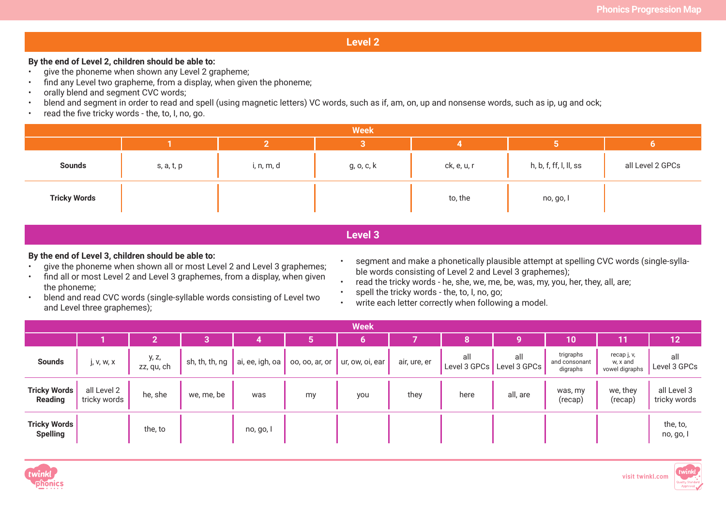#### **By the end of Level 2, children should be able to:**

- give the phoneme when shown any Level 2 grapheme;
- find any Level two grapheme, from a display, when given the phoneme;
- orally blend and segment CVC words;
- blend and segment in order to read and spell (using magnetic letters) VC words, such as if, am, on, up and nonsense words, such as ip, ug and ock;
- read the five tricky words the, to, I, no, go.

|                     | <b>Week</b> |            |            |             |                        |                  |  |  |  |  |  |  |
|---------------------|-------------|------------|------------|-------------|------------------------|------------------|--|--|--|--|--|--|
|                     |             |            |            |             |                        |                  |  |  |  |  |  |  |
| <b>Sounds</b>       | s, a, t, p  | i, n, m, d | g, o, c, k | ck, e, u, r | h, b, f, ff, l, ll, ss | all Level 2 GPCs |  |  |  |  |  |  |
| <b>Tricky Words</b> |             |            |            | to, the     | no, go, l              |                  |  |  |  |  |  |  |

**Level 3**

#### **By the end of Level 3, children should be able to:**

- give the phoneme when shown all or most Level 2 and Level 3 graphemes;
- find all or most Level 2 and Level 3 graphemes, from a display, when given the phoneme;
- blend and read CVC words (single-syllable words consisting of Level two and Level three graphemes);
- segment and make a phonetically plausible attempt at spelling CVC words (single-syllable words consisting of Level 2 and Level 3 graphemes);
- read the tricky words he, she, we, me, be, was, my, you, her, they, all, are;
- spell the tricky words the, to, I, no, go;
- write each letter correctly when following a model.

|                                        | <b>Week</b>                 |                     |                |                 |                |                 |              |                     |                     |                                        |                                           |                             |
|----------------------------------------|-----------------------------|---------------------|----------------|-----------------|----------------|-----------------|--------------|---------------------|---------------------|----------------------------------------|-------------------------------------------|-----------------------------|
|                                        |                             |                     |                |                 |                |                 |              |                     |                     | $ 10\rangle$                           |                                           | $\mathsf{12}^\mathsf{T}$    |
| <b>Sounds</b>                          | j, v, w, x                  | y, z,<br>zz, qu, ch | sh, th, th, ng | ai, ee, igh, oa | 00, 00, ar, or | ur, ow, oi, ear | air, ure, er | all<br>Level 3 GPCs | all<br>Level 3 GPCs | trigraphs<br>and consonant<br>digraphs | recap j, v,<br>w, x and<br>vowel digraphs | all<br>Level 3 GPCs         |
| <b>Tricky Words</b><br>Reading         | all Level 2<br>tricky words | he, she             | we, me, be     | was             | my             | you             | they         | here                | all, are            | was, my<br>(recap)                     | we, they<br>(recap)                       | all Level 3<br>tricky words |
| <b>Tricky Words</b><br><b>Spelling</b> |                             | the, to             |                | no, go, l       |                |                 |              |                     |                     |                                        |                                           | the, to,<br>no, go, l       |



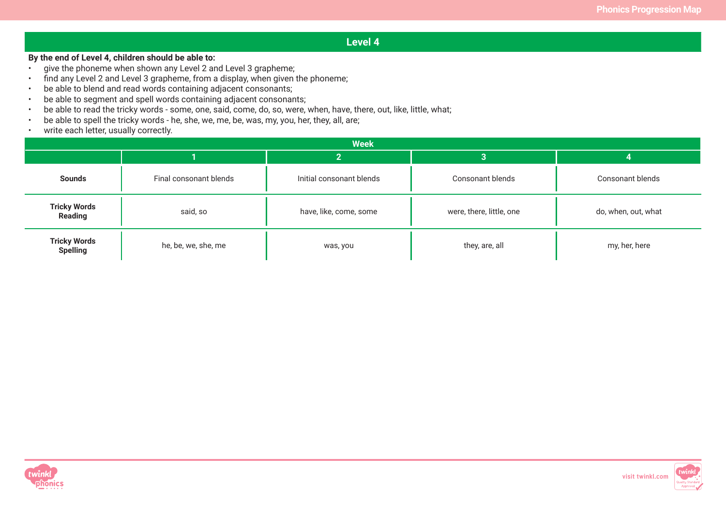#### **By the end of Level 4, children should be able to:**

- give the phoneme when shown any Level 2 and Level 3 grapheme;
- find any Level 2 and Level 3 grapheme, from a display, when given the phoneme;
- be able to blend and read words containing adjacent consonants;
- be able to segment and spell words containing adjacent consonants;
- be able to read the tricky words some, one, said, come, do, so, were, when, have, there, out, like, little, what;
- be able to spell the tricky words he, she, we, me, be, was, my, you, her, they, all, are;
- write each letter, usually correctly.

|                                        | <b>Week</b>            |                          |                          |                         |  |  |  |  |  |  |  |
|----------------------------------------|------------------------|--------------------------|--------------------------|-------------------------|--|--|--|--|--|--|--|
|                                        |                        |                          | 3                        |                         |  |  |  |  |  |  |  |
| <b>Sounds</b>                          | Final consonant blends | Initial consonant blends | <b>Consonant blends</b>  | <b>Consonant blends</b> |  |  |  |  |  |  |  |
| <b>Tricky Words</b><br><b>Reading</b>  | said, so               |                          | were, there, little, one | do, when, out, what     |  |  |  |  |  |  |  |
| <b>Tricky Words</b><br><b>Spelling</b> | he, be, we, she, me    | was, you                 | they, are, all           | my, her, here           |  |  |  |  |  |  |  |



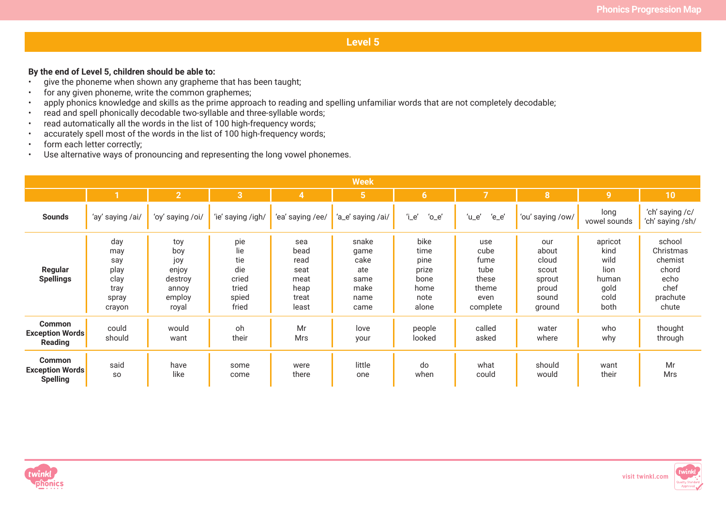#### **By the end of Level 5, children should be able to:**

- give the phoneme when shown any grapheme that has been taught;
- for any given phoneme, write the common graphemes;
- apply phonics knowledge and skills as the prime approach to reading and spelling unfamiliar words that are not completely decodable;
- read and spell phonically decodable two-syllable and three-syllable words;
- read automatically all the words in the list of 100 high-frequency words;
- accurately spell most of the words in the list of 100 high-frequency words;
- form each letter correctly;
- Use alternative ways of pronouncing and representing the long vowel phonemes.

|                                                            |                                                              |                                                                   |                                                              |                                                               | <b>Week</b>                                                  |                                                                |                                                                   |                                                                      |                                                                  |                                                                              |
|------------------------------------------------------------|--------------------------------------------------------------|-------------------------------------------------------------------|--------------------------------------------------------------|---------------------------------------------------------------|--------------------------------------------------------------|----------------------------------------------------------------|-------------------------------------------------------------------|----------------------------------------------------------------------|------------------------------------------------------------------|------------------------------------------------------------------------------|
|                                                            | $\mathbf{1}$                                                 | $\overline{2}$                                                    | $\overline{3}$                                               | $\overline{4}$                                                | $5\phantom{1}$                                               | 6 <sup>1</sup>                                                 | $\overline{7}$                                                    | 8 <sup>°</sup>                                                       | $\overline{9}$                                                   | 10                                                                           |
| <b>Sounds</b>                                              | 'ay' saying /ai/                                             | 'oy' saying /oi/                                                  | 'ie' saying /igh/                                            | 'ea' saying /ee/                                              | 'a_e' saying /ai/                                            | 'i_e'<br>$^{\prime}$ o $\_$ e $^{\prime}$                      | $'u_e$<br>$'e_e$                                                  | 'ou' saying /ow/                                                     | long<br>vowel sounds                                             | 'ch' saying /c/<br>'ch' saying /sh/                                          |
| Regular<br><b>Spellings</b>                                | day<br>may<br>say<br>play<br>clay<br>tray<br>spray<br>crayon | toy<br>boy<br>joy<br>enjoy<br>destroy<br>annoy<br>employ<br>royal | pie<br>lie<br>tie<br>die<br>cried<br>tried<br>spied<br>fried | sea<br>bead<br>read<br>seat<br>meat<br>heap<br>treat<br>least | snake<br>game<br>cake<br>ate<br>same<br>make<br>name<br>came | bike<br>time<br>pine<br>prize<br>bone<br>home<br>note<br>alone | use<br>cube<br>fume<br>tube<br>these<br>theme<br>even<br>complete | our<br>about<br>cloud<br>scout<br>sprout<br>proud<br>sound<br>ground | apricot<br>kind<br>wild<br>lion<br>human<br>gold<br>cold<br>both | school<br>Christmas<br>chemist<br>chord<br>echo<br>chef<br>prachute<br>chute |
| <b>Common</b><br><b>Exception Words</b><br><b>Reading</b>  | could<br>should                                              | would<br>want                                                     | oh<br>their                                                  | Mr<br>Mrs                                                     | love<br>your                                                 | people<br>looked                                               | called<br>asked                                                   | water<br>where                                                       | who<br>why                                                       | thought<br>through                                                           |
| <b>Common</b><br><b>Exception Words</b><br><b>Spelling</b> | said<br><b>SO</b>                                            | have<br>like                                                      | some<br>come                                                 | were<br>there                                                 | little<br>one                                                | do<br>when                                                     | what<br>could                                                     | should<br>would                                                      | want<br>their                                                    | Mr<br>Mrs                                                                    |



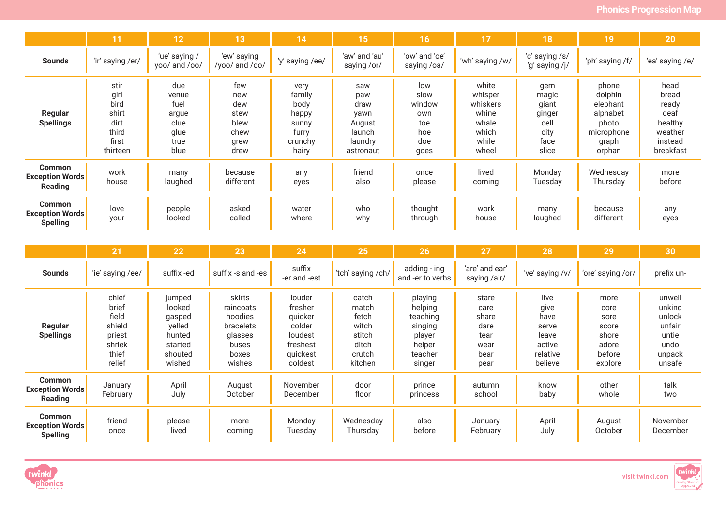|                                                            | 11                                                                  | 12                                                            | 13                                                        | 14                                                                    | 15                                                                     | 16                                                        | 17                                                                        | 18                                                               | 19                                                                                 | 20                                                                           |
|------------------------------------------------------------|---------------------------------------------------------------------|---------------------------------------------------------------|-----------------------------------------------------------|-----------------------------------------------------------------------|------------------------------------------------------------------------|-----------------------------------------------------------|---------------------------------------------------------------------------|------------------------------------------------------------------|------------------------------------------------------------------------------------|------------------------------------------------------------------------------|
| <b>Sounds</b>                                              | 'ir' saying /er/                                                    | 'ue' saying /<br>yoo/ and /oo/                                | 'ew' saying<br>/yoo/ and /oo/                             | 'y' saying /ee/                                                       | 'aw' and 'au'<br>saying /or/                                           | 'ow' and 'oe'<br>saying /oa/                              | 'wh' saying /w/                                                           | 'c' saying /s/<br>'g' saying /j/                                 | 'ph' saying /f/                                                                    | 'ea' saying /e/                                                              |
| Regular<br><b>Spellings</b>                                | stir<br>girl<br>bird<br>shirt<br>dirt<br>third<br>first<br>thirteen | due<br>venue<br>fuel<br>argue<br>clue<br>glue<br>true<br>blue | few<br>new<br>dew<br>stew<br>blew<br>chew<br>grew<br>drew | very<br>family<br>body<br>happy<br>sunny<br>furry<br>crunchy<br>hairy | saw<br>paw<br>draw<br>yawn<br>August<br>launch<br>laundry<br>astronaut | low<br>slow<br>window<br>own<br>toe<br>hoe<br>doe<br>goes | white<br>whisper<br>whiskers<br>whine<br>whale<br>which<br>while<br>wheel | gem<br>magic<br>giant<br>ginger<br>cell<br>city<br>face<br>slice | phone<br>dolphin<br>elephant<br>alphabet<br>photo<br>microphone<br>graph<br>orphan | head<br>bread<br>ready<br>deaf<br>healthy<br>weather<br>instead<br>breakfast |
| <b>Common</b><br><b>Exception Words</b><br>Reading         | work<br>house                                                       | many<br>laughed                                               | because<br>different                                      | any<br>eyes                                                           | friend<br>also                                                         | once<br>please                                            | lived<br>coming                                                           | Monday<br>Tuesdav                                                | Wednesday<br>Thursday                                                              | more<br>before                                                               |
| <b>Common</b><br><b>Exception Words</b><br><b>Spelling</b> | love<br>your                                                        | people<br>looked                                              | asked<br>called                                           | water<br>where                                                        | who<br>why                                                             | thought<br>through                                        | work<br>house                                                             | many<br>laughed                                                  | because<br>different                                                               | any<br>eyes                                                                  |

|                                                            | 21                                                                       | 22                                                                             | 23                                                                                 | 24                                                                                   | 25                                                                       | 26                                                                                 | 27                                                             | 28                                                                      | 29                                                                   | 30                                                                        |
|------------------------------------------------------------|--------------------------------------------------------------------------|--------------------------------------------------------------------------------|------------------------------------------------------------------------------------|--------------------------------------------------------------------------------------|--------------------------------------------------------------------------|------------------------------------------------------------------------------------|----------------------------------------------------------------|-------------------------------------------------------------------------|----------------------------------------------------------------------|---------------------------------------------------------------------------|
| <b>Sounds</b>                                              | 'ie' saying /ee/                                                         | suffix-ed                                                                      | suffix -s and -es                                                                  | suffix<br>-er and -est                                                               | 'tch' saying /ch/                                                        | adding - ing<br>and -er to verbs                                                   | 'are' and ear'<br>saying /air/                                 | 've' saying /v/                                                         | 'ore' saying /or/                                                    | prefix un-                                                                |
| <b>Regular</b><br><b>Spellings</b>                         | chief<br>brief<br>field<br>shield<br>priest<br>shriek<br>thief<br>relief | jumped<br>looked<br>gasped<br>yelled<br>hunted<br>started<br>shouted<br>wished | skirts<br>raincoats<br>hoodies<br>bracelets<br>glasses<br>buses<br>boxes<br>wishes | louder<br>fresher<br>quicker<br>colder<br>loudest<br>freshest<br>quickest<br>coldest | catch<br>match<br>fetch<br>witch<br>stitch<br>ditch<br>crutch<br>kitchen | playing<br>helping<br>teaching<br>singing<br>player<br>helper<br>teacher<br>singer | stare<br>care<br>share<br>dare<br>tear<br>wear<br>bear<br>pear | live<br>give<br>have<br>serve<br>leave<br>active<br>relative<br>believe | more<br>core<br>sore<br>score<br>shore<br>adore<br>before<br>explore | unwell<br>unkind<br>unlock<br>unfair<br>untie<br>undo<br>unpack<br>unsafe |
| <b>Common</b><br><b>Exception Words</b><br><b>Reading</b>  | January<br>February                                                      | April<br>July                                                                  | August<br>October                                                                  | November<br>December                                                                 | door<br>floor                                                            | prince<br>princess                                                                 | autumn<br>school                                               | know<br>baby                                                            | other<br>whole                                                       | talk<br>two                                                               |
| <b>Common</b><br><b>Exception Words</b><br><b>Spelling</b> | friend<br>once                                                           | please<br>lived                                                                | more<br>coming                                                                     | Monday<br>Tuesday                                                                    | Wednesday<br>Thursday                                                    | also<br>before                                                                     | January<br>February                                            | April<br>July                                                           | August<br>October                                                    | November<br>December                                                      |



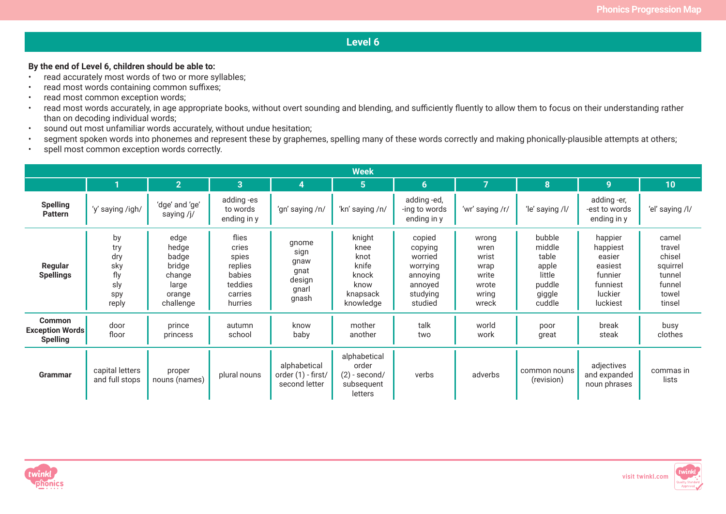#### **By the end of Level 6, children should be able to:**

- read accurately most words of two or more syllables;
- read most words containing common suffixes;
- read most common exception words;
- read most words accurately, in age appropriate books, without overt sounding and blending, and sufficiently fluently to allow them to focus on their understanding rather than on decoding individual words;
- sound out most unfamiliar words accurately, without undue hesitation;
- segment spoken words into phonemes and represent these by graphemes, spelling many of these words correctly and making phonically-plausible attempts at others;
- spell most common exception words correctly.

| <b>Week</b>                                                |                                                       |                                                                            |                                                                               |                                                           |                                                                           |                                                                                        |                                                                    |                                                                            |                                                                                        |                                                                              |  |
|------------------------------------------------------------|-------------------------------------------------------|----------------------------------------------------------------------------|-------------------------------------------------------------------------------|-----------------------------------------------------------|---------------------------------------------------------------------------|----------------------------------------------------------------------------------------|--------------------------------------------------------------------|----------------------------------------------------------------------------|----------------------------------------------------------------------------------------|------------------------------------------------------------------------------|--|
|                                                            |                                                       | $\overline{2}$                                                             | 3                                                                             | 4                                                         | $5\phantom{.}$                                                            | 6                                                                                      |                                                                    | 8                                                                          | 9                                                                                      | 10 <sub>1</sub>                                                              |  |
| <b>Spelling</b><br><b>Pattern</b>                          | 'y' saying /igh/                                      | 'dge' and 'ge'<br>saying /j/                                               | adding-es<br>to words<br>ending in y                                          | 'gn' saying /n/                                           | 'kn' saying /n/                                                           | adding-ed,<br>-ing to words<br>ending in y                                             | 'wr' saying /r/                                                    | 'le' saying /l/                                                            | adding -er,<br>-est to words<br>ending in y                                            | 'el' saying /l/                                                              |  |
| Regular<br><b>Spellings</b>                                | by<br>try<br>dry<br>sky<br>fly<br>sly<br>spy<br>reply | edge<br>hedge<br>badge<br>bridge<br>change<br>large<br>orange<br>challenge | flies<br>cries<br>spies<br>replies<br>babies<br>teddies<br>carries<br>hurries | gnome<br>sign<br>gnaw<br>gnat<br>design<br>gnarl<br>gnash | knight<br>knee<br>knot<br>knife<br>knock<br>know<br>knapsack<br>knowledge | copied<br>copying<br>worried<br>worrying<br>annoying<br>annoyed<br>studying<br>studied | wrong<br>wren<br>wrist<br>wrap<br>write<br>wrote<br>wring<br>wreck | bubble<br>middle<br>table<br>apple<br>little<br>puddle<br>giggle<br>cuddle | happier<br>happiest<br>easier<br>easiest<br>funnier<br>funniest<br>luckier<br>luckiest | camel<br>travel<br>chisel<br>squirrel<br>tunnel<br>funnel<br>towel<br>tinsel |  |
| <b>Common</b><br><b>Exception Words</b><br><b>Spelling</b> | door<br>floor                                         | prince<br>princess                                                         | autumn<br>school                                                              | know<br>baby                                              | mother<br>another                                                         | talk<br>two                                                                            | world<br>work                                                      | poor<br>great                                                              | break<br>steak                                                                         | busy<br>clothes                                                              |  |
| Grammar                                                    | capital letters<br>and full stops                     | proper<br>nouns (names)                                                    | plural nouns                                                                  | alphabetical<br>order (1) - first/<br>second letter       | alphabetical<br>order<br>$(2)$ - second/<br>subsequent<br>letters         | verbs                                                                                  | adverbs                                                            | common nouns<br>(revision)                                                 | adjectives<br>and expanded<br>noun phrases                                             | commas in<br>lists                                                           |  |